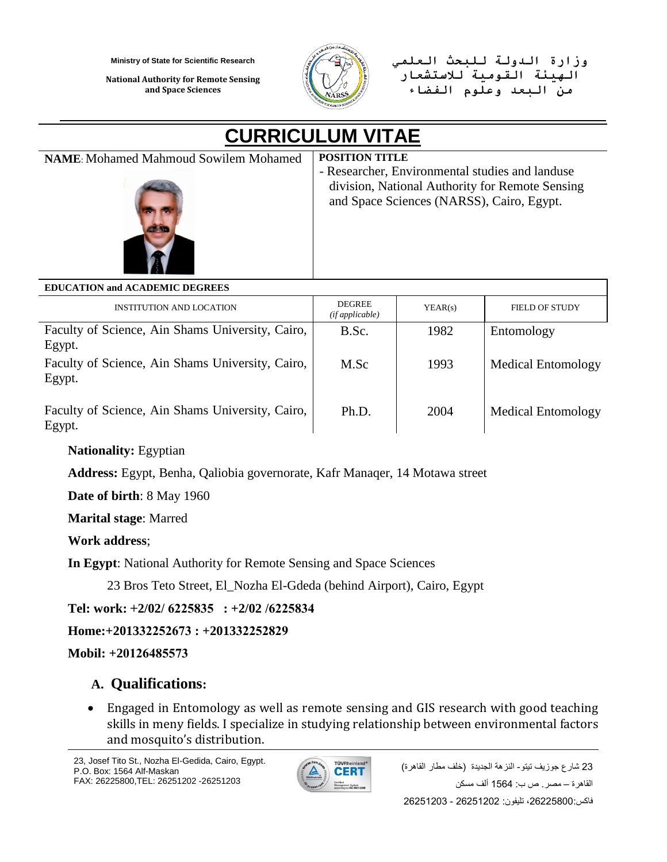**National Authority for Remote Sensing and Space Sciences**



**وزارة الدولة للبحث العلمي الهيئة القومية لالستشعار من البعد وعلوم الفضاء**

# **CURRICULUM VITAE**

**NAME**: Mohamed Mahmoud Sowilem Mohamed **POSITION TITLE**



- Researcher, Environmental studies and landuse division, National Authority for Remote Sensing and Space Sciences (NARSS), Cairo, Egypt.

**EDUCATION and ACADEMIC DEGREES**

| <b>INSTITUTION AND LOCATION</b>                            | <b>DEGREE</b><br>(ifappliedble) | YEAR(s) | <b>FIELD OF STUDY</b>     |
|------------------------------------------------------------|---------------------------------|---------|---------------------------|
| Faculty of Science, Ain Shams University, Cairo,<br>Egypt. | B.Sc.                           | 1982    | Entomology                |
| Faculty of Science, Ain Shams University, Cairo,<br>Egypt. | M.Sc                            | 1993    | <b>Medical Entomology</b> |
| Faculty of Science, Ain Shams University, Cairo,<br>Egypt. | Ph.D.                           | 2004    | <b>Medical Entomology</b> |

## **Nationality:** Egyptian

**Address:** Egypt, Benha, Qaliobia governorate, Kafr Manaqer, 14 Motawa street

**Date of birth**: 8 May 1960

**Marital stage**: Marred

**Work address**;

**In Egypt**: National Authority for Remote Sensing and Space Sciences

23 Bros Teto Street, El\_Nozha El-Gdeda (behind Airport), Cairo, Egypt

**Tel: work: +2/02/ 6225835 : +2/02 /6225834**

**Home:+201332252673 : +201332252829**

**Mobil: +20126485573**

# **A. Qualifications:**

 Engaged in Entomology as well as remote sensing and GIS research with good teaching skills in meny fields. I specialize in studying relationship between environmental factors and mosquito's distribution.

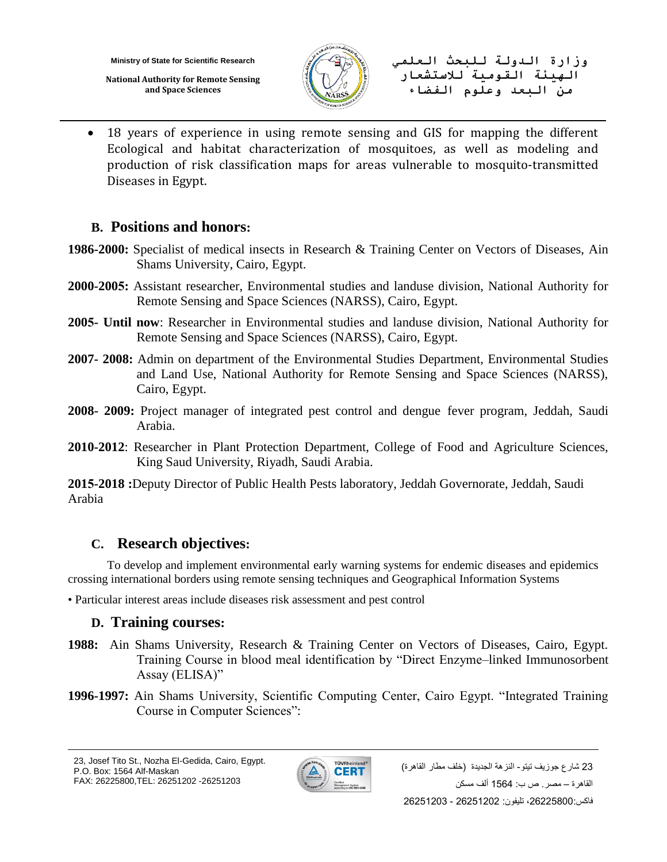**National Authority for Remote Sensing and Space Sciences**



**وزارة الدولة للبحث العلمي الهيئة القومية لالستشعار من البعد وعلوم الفضاء**

 18 years of experience in using remote sensing and GIS for mapping the different Ecological and habitat characterization of mosquitoes, as well as modeling and production of risk classification maps for areas vulnerable to mosquito-transmitted Diseases in Egypt.

## **B. Positions and honors:**

- **1986-2000:** Specialist of medical insects in Research & Training Center on Vectors of Diseases, Ain Shams University, Cairo, Egypt.
- **2000-2005:** Assistant researcher, Environmental studies and landuse division, National Authority for Remote Sensing and Space Sciences (NARSS), Cairo, Egypt.
- **2005- Until now**: Researcher in Environmental studies and landuse division, National Authority for Remote Sensing and Space Sciences (NARSS), Cairo, Egypt.
- **2007- 2008:** Admin on department of the Environmental Studies Department, Environmental Studies and Land Use, National Authority for Remote Sensing and Space Sciences (NARSS), Cairo, Egypt.
- **2008- 2009:** Project manager of integrated pest control and dengue fever program, Jeddah, Saudi Arabia.
- **2010-2012**: Researcher in Plant Protection Department, College of Food and Agriculture Sciences, King Saud University, Riyadh, Saudi Arabia.

**2015-2018 :**Deputy Director of Public Health Pests laboratory, Jeddah Governorate, Jeddah, Saudi Arabia

# **C. Research objectives:**

To develop and implement environmental early warning systems for endemic diseases and epidemics crossing international borders using remote sensing techniques and Geographical Information Systems

• Particular interest areas include diseases risk assessment and pest control

## **D. Training courses:**

- **1988:** Ain Shams University, Research & Training Center on Vectors of Diseases, Cairo, Egypt. Training Course in blood meal identification by "Direct Enzyme–linked Immunosorbent Assay (ELISA)"
- **1996-1997:** Ain Shams University, Scientific Computing Center, Cairo Egypt. "Integrated Training Course in Computer Sciences":

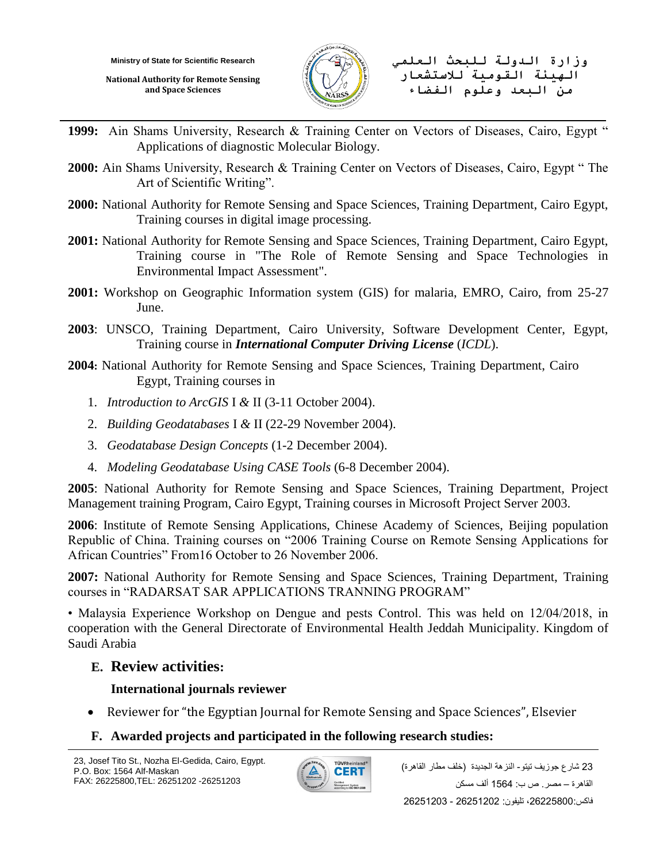**National Authority for Remote Sensing and Space Sciences**



- **1999:** Ain Shams University, Research & Training Center on Vectors of Diseases, Cairo, Egypt " Applications of diagnostic Molecular Biology.
- **2000:** Ain Shams University, Research & Training Center on Vectors of Diseases, Cairo, Egypt " The Art of Scientific Writing".
- **2000:** National Authority for Remote Sensing and Space Sciences, Training Department, Cairo Egypt, Training courses in digital image processing.
- **2001:** National Authority for Remote Sensing and Space Sciences, Training Department, Cairo Egypt, Training course in "The Role of Remote Sensing and Space Technologies in Environmental Impact Assessment".
- **2001:** Workshop on Geographic Information system (GIS) for malaria, EMRO, Cairo, from 25-27 June.
- **2003**: UNSCO, Training Department, Cairo University, Software Development Center, Egypt, Training course in *International Computer Driving License* (*ICDL*).
- **2004:** National Authority for Remote Sensing and Space Sciences, Training Department, Cairo Egypt, Training courses in
	- 1. *Introduction to ArcGIS* I *&* II (3-11 October 2004).
	- 2. *Building Geodatabases* I *&* II (22-29 November 2004).
	- 3. *Geodatabase Design Concepts* (1-2 December 2004).
	- 4. *Modeling Geodatabase Using CASE Tools* (6-8 December 2004).

**2005**: National Authority for Remote Sensing and Space Sciences, Training Department, Project Management training Program, Cairo Egypt, Training courses in Microsoft Project Server 2003.

**2006**: Institute of Remote Sensing Applications, Chinese Academy of Sciences, Beijing population Republic of China. Training courses on "2006 Training Course on Remote Sensing Applications for African Countries" From16 October to 26 November 2006.

**2007:** National Authority for Remote Sensing and Space Sciences, Training Department, Training courses in "RADARSAT SAR APPLICATIONS TRANNING PROGRAM"

• Malaysia Experience Workshop on Dengue and pests Control. This was held on 12/04/2018, in cooperation with the General Directorate of Environmental Health Jeddah Municipality. Kingdom of Saudi Arabia

## **E. Review activities:**

## **International journals reviewer**

Reviewer for "the Egyptian Journal for Remote Sensing and Space Sciences", Elsevier

## **F. Awarded projects and participated in the following research studies:**

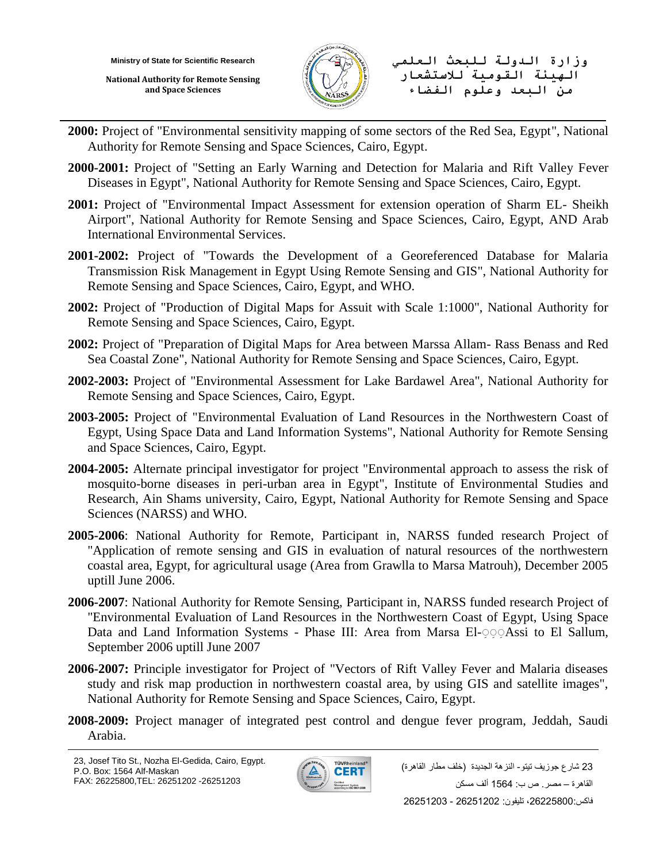**National Authority for Remote Sensing and Space Sciences**



**وزارة الدولة للبحث العلمي الهيئة القومية لالستشعار من البعد وعلوم الفضاء**

- **2000:** Project of "Environmental sensitivity mapping of some sectors of the Red Sea, Egypt", National Authority for Remote Sensing and Space Sciences, Cairo, Egypt.
- **2000-2001:** Project of "Setting an Early Warning and Detection for Malaria and Rift Valley Fever Diseases in Egypt", National Authority for Remote Sensing and Space Sciences, Cairo, Egypt.
- **2001:** Project of "Environmental Impact Assessment for extension operation of Sharm EL- Sheikh Airport", National Authority for Remote Sensing and Space Sciences, Cairo, Egypt, AND Arab International Environmental Services.
- **2001-2002:** Project of "Towards the Development of a Georeferenced Database for Malaria Transmission Risk Management in Egypt Using Remote Sensing and GIS", National Authority for Remote Sensing and Space Sciences, Cairo, Egypt, and WHO.
- **2002:** Project of "Production of Digital Maps for Assuit with Scale 1:1000", National Authority for Remote Sensing and Space Sciences, Cairo, Egypt.
- **2002:** Project of "Preparation of Digital Maps for Area between Marssa Allam- Rass Benass and Red Sea Coastal Zone", National Authority for Remote Sensing and Space Sciences, Cairo, Egypt.
- **2002-2003:** Project of "Environmental Assessment for Lake Bardawel Area", National Authority for Remote Sensing and Space Sciences, Cairo, Egypt.
- **2003-2005:** Project of "Environmental Evaluation of Land Resources in the Northwestern Coast of Egypt, Using Space Data and Land Information Systems", National Authority for Remote Sensing and Space Sciences, Cairo, Egypt.
- **2004-2005:** Alternate principal investigator for project "Environmental approach to assess the risk of mosquito-borne diseases in peri-urban area in Egypt", Institute of Environmental Studies and Research, Ain Shams university, Cairo, Egypt, National Authority for Remote Sensing and Space Sciences (NARSS) and WHO.
- **2005-2006**: National Authority for Remote, Participant in, NARSS funded research Project of "Application of remote sensing and GIS in evaluation of natural resources of the northwestern coastal area, Egypt, for agricultural usage (Area from Grawlla to Marsa Matrouh), December 2005 uptill June 2006.
- **2006-2007**: National Authority for Remote Sensing, Participant in, NARSS funded research Project of "Environmental Evaluation of Land Resources in the Northwestern Coast of Egypt, Using Space Data and Land Information Systems - Phase III: Area from Marsa El- and Land El Sallum, September 2006 uptill June 2007
- **2006-2007:** Principle investigator for Project of "Vectors of Rift Valley Fever and Malaria diseases study and risk map production in northwestern coastal area, by using GIS and satellite images", National Authority for Remote Sensing and Space Sciences, Cairo, Egypt.
- **2008-2009:** Project manager of integrated pest control and dengue fever program, Jeddah, Saudi Arabia.

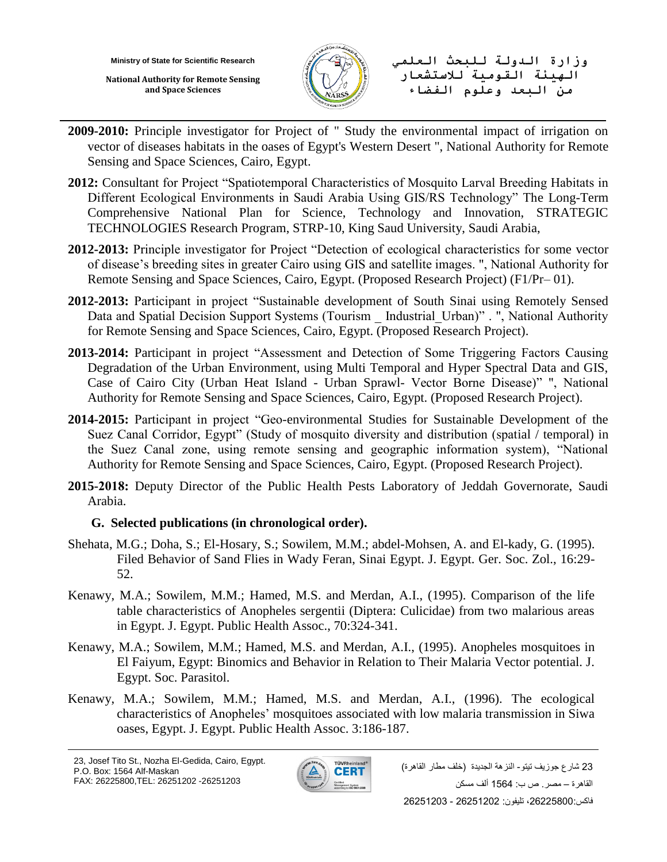**National Authority for Remote Sensing and Space Sciences**



**وزارة الدولة للبحث العلمي الهيئة القومية لالستشعار من البعد وعلوم الفضاء**

- **2009-2010:** Principle investigator for Project of " Study the environmental impact of irrigation on vector of diseases habitats in the oases of Egypt's Western Desert ", National Authority for Remote Sensing and Space Sciences, Cairo, Egypt.
- **2012:** Consultant for Project "Spatiotemporal Characteristics of Mosquito Larval Breeding Habitats in Different Ecological Environments in Saudi Arabia Using GIS/RS Technology" The Long-Term Comprehensive National Plan for Science, Technology and Innovation, STRATEGIC TECHNOLOGIES Research Program, STRP-10, King Saud University, Saudi Arabia,
- **2012-2013:** Principle investigator for Project "Detection of ecological characteristics for some vector of disease's breeding sites in greater Cairo using GIS and satellite images. ", National Authority for Remote Sensing and Space Sciences, Cairo, Egypt. (Proposed Research Project) (F1/Pr– 01).
- **2012-2013:** Participant in project "Sustainable development of South Sinai using Remotely Sensed Data and Spatial Decision Support Systems (Tourism Industrial Urban)" . ", National Authority for Remote Sensing and Space Sciences, Cairo, Egypt. (Proposed Research Project).
- **2013-2014:** Participant in project "Assessment and Detection of Some Triggering Factors Causing Degradation of the Urban Environment, using Multi Temporal and Hyper Spectral Data and GIS, Case of Cairo City (Urban Heat Island - Urban Sprawl- Vector Borne Disease)" ", National Authority for Remote Sensing and Space Sciences, Cairo, Egypt. (Proposed Research Project).
- **2014-2015:** Participant in project "Geo-environmental Studies for Sustainable Development of the Suez Canal Corridor, Egypt" (Study of mosquito diversity and distribution (spatial / temporal) in the Suez Canal zone, using remote sensing and geographic information system), "National Authority for Remote Sensing and Space Sciences, Cairo, Egypt. (Proposed Research Project).
- **2015-2018:** Deputy Director of the Public Health Pests Laboratory of Jeddah Governorate, Saudi Arabia.

## **G. Selected publications (in chronological order).**

- Shehata, M.G.; Doha, S.; El-Hosary, S.; Sowilem, M.M.; abdel-Mohsen, A. and El-kady, G. (1995). Filed Behavior of Sand Flies in Wady Feran, Sinai Egypt. J. Egypt. Ger. Soc. Zol., 16:29- 52.
- Kenawy, M.A.; Sowilem, M.M.; Hamed, M.S. and Merdan, A.I., (1995). Comparison of the life table characteristics of Anopheles sergentii (Diptera: Culicidae) from two malarious areas in Egypt. J. Egypt. Public Health Assoc., 70:324-341.
- Kenawy, M.A.; Sowilem, M.M.; Hamed, M.S. and Merdan, A.I., (1995). Anopheles mosquitoes in El Faiyum, Egypt: Binomics and Behavior in Relation to Their Malaria Vector potential. J. Egypt. Soc. Parasitol.
- Kenawy, M.A.; Sowilem, M.M.; Hamed, M.S. and Merdan, A.I., (1996). The ecological characteristics of Anopheles' mosquitoes associated with low malaria transmission in Siwa oases, Egypt. J. Egypt. Public Health Assoc. 3:186-187.

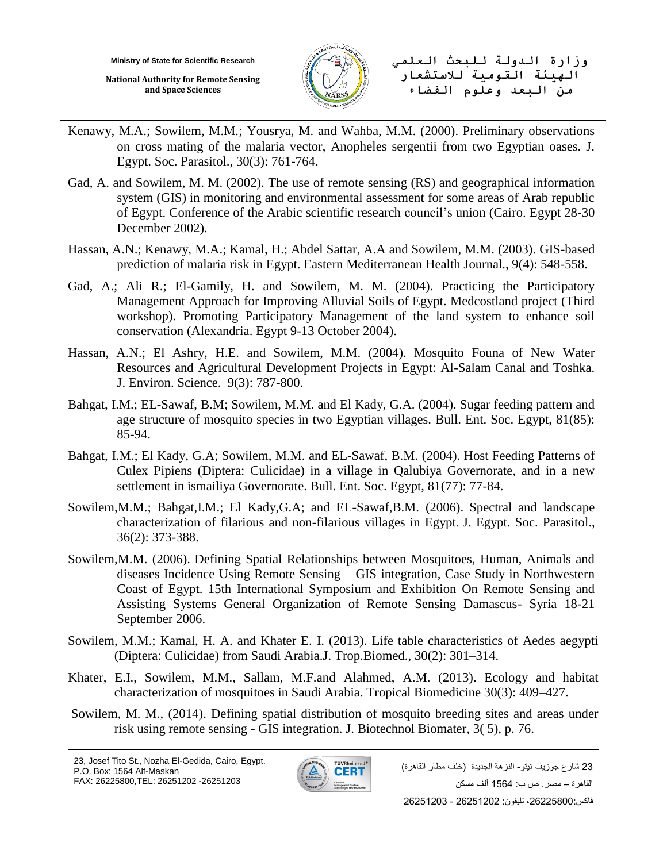**National Authority for Remote Sensing and Space Sciences**



**وزارة الدولة للبحث العلمي الهيئة القومية لالستشعار من البعد وعلوم الفضاء**

- Kenawy, M.A.; Sowilem, M.M.; Yousrya, M. and Wahba, M.M. (2000). Preliminary observations on cross mating of the malaria vector, Anopheles sergentii from two Egyptian oases. J. Egypt. Soc. Parasitol., 30(3): 761-764.
- Gad, A. and Sowilem, M. M. (2002). The use of remote sensing (RS) and geographical information system (GIS) in monitoring and environmental assessment for some areas of Arab republic of Egypt. Conference of the Arabic scientific research council's union (Cairo. Egypt 28-30 December 2002).
- Hassan, A.N.; Kenawy, M.A.; Kamal, H.; Abdel Sattar, A.A and Sowilem, M.M. (2003). GIS-based prediction of malaria risk in Egypt. Eastern Mediterranean Health Journal., 9(4): 548-558.
- Gad, A.; Ali R.; El-Gamily, H. and Sowilem, M. M. (2004). Practicing the Participatory Management Approach for Improving Alluvial Soils of Egypt. Medcostland project (Third workshop). Promoting Participatory Management of the land system to enhance soil conservation (Alexandria. Egypt 9-13 October 2004).
- Hassan, A.N.; El Ashry, H.E. and Sowilem, M.M. (2004). Mosquito Founa of New Water Resources and Agricultural Development Projects in Egypt: Al-Salam Canal and Toshka. J. Environ. Science. 9(3): 787-800.
- Bahgat, I.M.; EL-Sawaf, B.M; Sowilem, M.M. and El Kady, G.A. (2004). Sugar feeding pattern and age structure of mosquito species in two Egyptian villages. Bull. Ent. Soc. Egypt, 81(85): 85-94.
- Bahgat, I.M.; El Kady, G.A; Sowilem, M.M. and EL-Sawaf, B.M. (2004). Host Feeding Patterns of Culex Pipiens (Diptera: Culicidae) in a village in Qalubiya Governorate, and in a new settlement in ismailiya Governorate. Bull. Ent. Soc. Egypt, 81(77): 77-84.
- Sowilem,M.M.; Bahgat,I.M.; El Kady,G.A; and EL-Sawaf,B.M. (2006). Spectral and landscape characterization of filarious and non-filarious villages in Egypt. J. Egypt. Soc. Parasitol., 36(2): 373-388.
- Sowilem,M.M. (2006). Defining Spatial Relationships between Mosquitoes, Human, Animals and diseases Incidence Using Remote Sensing – GIS integration, Case Study in Northwestern Coast of Egypt. 15th International Symposium and Exhibition On Remote Sensing and Assisting Systems General Organization of Remote Sensing Damascus- Syria 18-21 September 2006.
- Sowilem, M.M.; Kamal, H. A. and Khater E. I. (2013). Life table characteristics of Aedes aegypti (Diptera: Culicidae) from Saudi Arabia.J. Trop.Biomed., 30(2): 301–314.
- Khater, E.I., Sowilem, M.M., Sallam, M.F.and Alahmed, A.M. (2013). Ecology and habitat characterization of mosquitoes in Saudi Arabia. Tropical Biomedicine 30(3): 409–427.
- Sowilem, M. M., (2014). Defining spatial distribution of mosquito breeding sites and areas under risk using remote sensing - GIS integration. J. Biotechnol Biomater, 3( 5), p. 76.